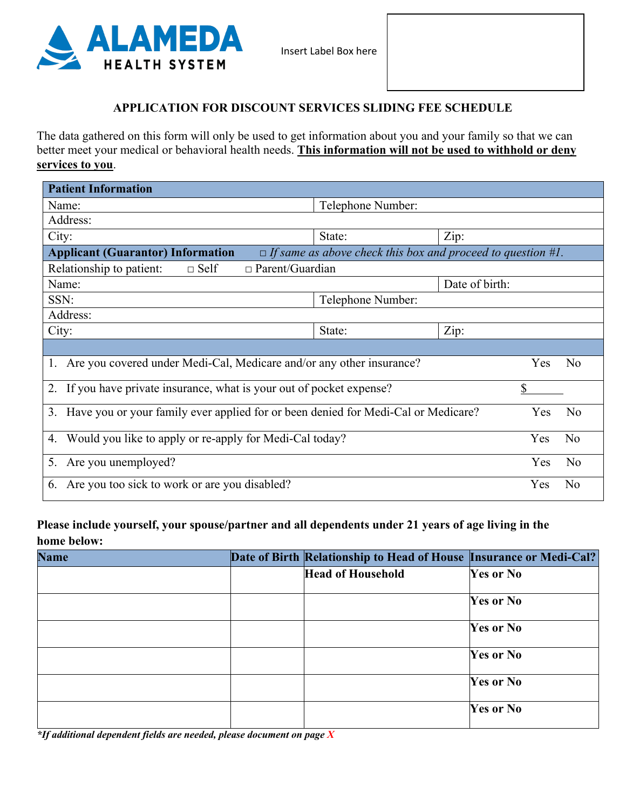

#### **APPLICATION FOR DISCOUNT SERVICES SLIDING FEE SCHEDULE**

The data gathered on this form will only be used to get information about you and your family so that we can better meet your medical or behavioral health needs. **This information will not be used to withhold or deny services to you**.

| <b>Patient Information</b>                                                                                     |                       |                       |  |  |  |  |
|----------------------------------------------------------------------------------------------------------------|-----------------------|-----------------------|--|--|--|--|
| Name:                                                                                                          | Telephone Number:     |                       |  |  |  |  |
| Address:                                                                                                       |                       |                       |  |  |  |  |
| City:                                                                                                          | State:                | Zip:                  |  |  |  |  |
| <b>Applicant (Guarantor) Information</b><br>$\Box$ If same as above check this box and proceed to question #1. |                       |                       |  |  |  |  |
| $\Box$ Parent/Guardian<br>Relationship to patient:<br>$\Box$ Self                                              |                       |                       |  |  |  |  |
| Name:                                                                                                          |                       | Date of birth:        |  |  |  |  |
| SSN:                                                                                                           | Telephone Number:     |                       |  |  |  |  |
| Address:                                                                                                       |                       |                       |  |  |  |  |
| City:                                                                                                          | State:                | Zip:                  |  |  |  |  |
|                                                                                                                |                       |                       |  |  |  |  |
| Are you covered under Medi-Cal, Medicare and/or any other insurance?<br><b>Yes</b><br>N <sub>o</sub><br>1.     |                       |                       |  |  |  |  |
| If you have private insurance, what is your out of pocket expense?<br>\$<br>2.                                 |                       |                       |  |  |  |  |
| 3. Have you or your family ever applied for or been denied for Medi-Cal or Medicare?<br>N <sub>o</sub><br>Yes  |                       |                       |  |  |  |  |
| Would you like to apply or re-apply for Medi-Cal today?<br>4.                                                  | Yes<br>N <sub>o</sub> |                       |  |  |  |  |
| Are you unemployed?<br>5.                                                                                      |                       | Yes<br>N <sub>o</sub> |  |  |  |  |
| Are you too sick to work or are you disabled?<br>6.                                                            | N <sub>o</sub><br>Yes |                       |  |  |  |  |

# **Please include yourself, your spouse/partner and all dependents under 21 years of age living in the home below:**

|                  | Date of Birth Relationship to Head of House Insurance or Medi-Cal? | <b>Name</b> |
|------------------|--------------------------------------------------------------------|-------------|
| Yes or No        | <b>Head of Household</b>                                           |             |
| <b>Yes or No</b> |                                                                    |             |
| <b>Yes or No</b> |                                                                    |             |
| <b>Yes or No</b> |                                                                    |             |
| <b>Yes or No</b> |                                                                    |             |
| <b>Yes or No</b> |                                                                    |             |
|                  |                                                                    |             |

*\*If additional dependent fields are needed, please document on page X*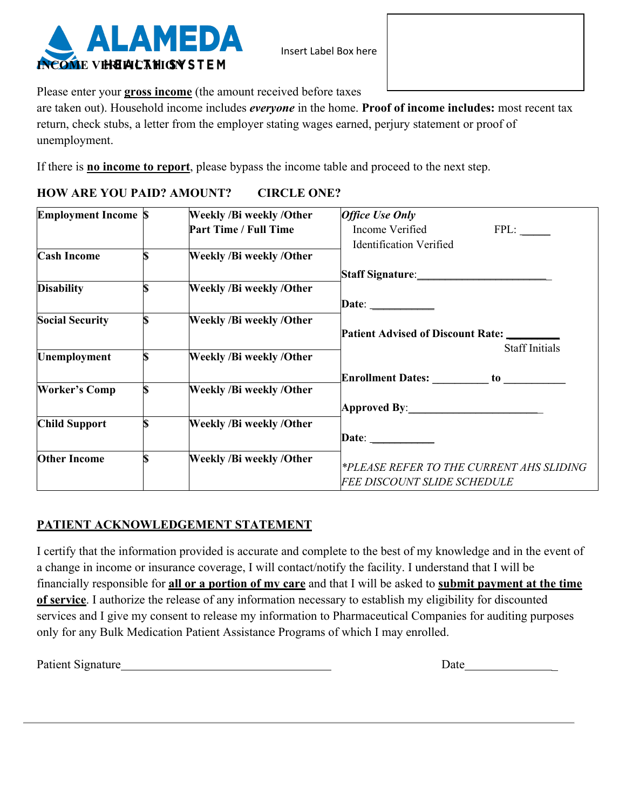

Insert Label Box here

Please enter your **gross income** (the amount received before taxes

are taken out). Household income includes *everyone* in the home. **Proof of income includes:** most recent tax return, check stubs, a letter from the employer stating wages earned, perjury statement or proof of unemployment.

If there is **no income to report**, please bypass the income table and proceed to the next step.

## **HOW ARE YOU PAID? AMOUNT? CIRCLE ONE?**

| <b>Employment Income S</b> | <b>Weekly /Bi weekly /Other</b> | <b>Office Use Only</b>                      |
|----------------------------|---------------------------------|---------------------------------------------|
|                            | <b>Part Time / Full Time</b>    | Income Verified<br>FPL:                     |
|                            |                                 | <b>Identification Verified</b>              |
| <b>Cash Income</b>         | <b>Weekly /Bi weekly /Other</b> |                                             |
|                            |                                 | Staff Signature:___________________________ |
| <b>Disability</b>          | <b>Weekly /Bi weekly /Other</b> |                                             |
|                            |                                 | Date: $\qquad \qquad$                       |
| <b>Social Security</b>     | <b>Weekly /Bi weekly /Other</b> |                                             |
|                            |                                 | Patient Advised of Discount Rate: ________  |
|                            |                                 | <b>Staff Initials</b>                       |
| <b>Unemployment</b>        | Weekly /Bi weekly /Other        |                                             |
|                            |                                 |                                             |
| <b>Worker's Comp</b>       | <b>Weekly /Bi weekly /Other</b> |                                             |
|                            |                                 | Approved By:________________________        |
| <b>Child Support</b>       | <b>Weekly /Bi weekly /Other</b> |                                             |
|                            |                                 | Date: $\qquad \qquad$                       |
| <b>Other Income</b>        | Weekly /Bi weekly /Other        |                                             |
|                            |                                 | *PLEASE REFER TO THE CURRENT AHS SLIDING    |
|                            |                                 | <b>FEE DISCOUNT SLIDE SCHEDULE</b>          |

## **PATIENT ACKNOWLEDGEMENT STATEMENT**

I certify that the information provided is accurate and complete to the best of my knowledge and in the event of a change in income or insurance coverage, I will contact/notify the facility. I understand that I will be financially responsible for **all or a portion of my care** and that I will be asked to **submit payment at the time of service**. I authorize the release of any information necessary to establish my eligibility for discounted services and I give my consent to release my information to Pharmaceutical Companies for auditing purposes only for any Bulk Medication Patient Assistance Programs of which I may enrolled.

Patient Signature **Date Date Date Date Date**